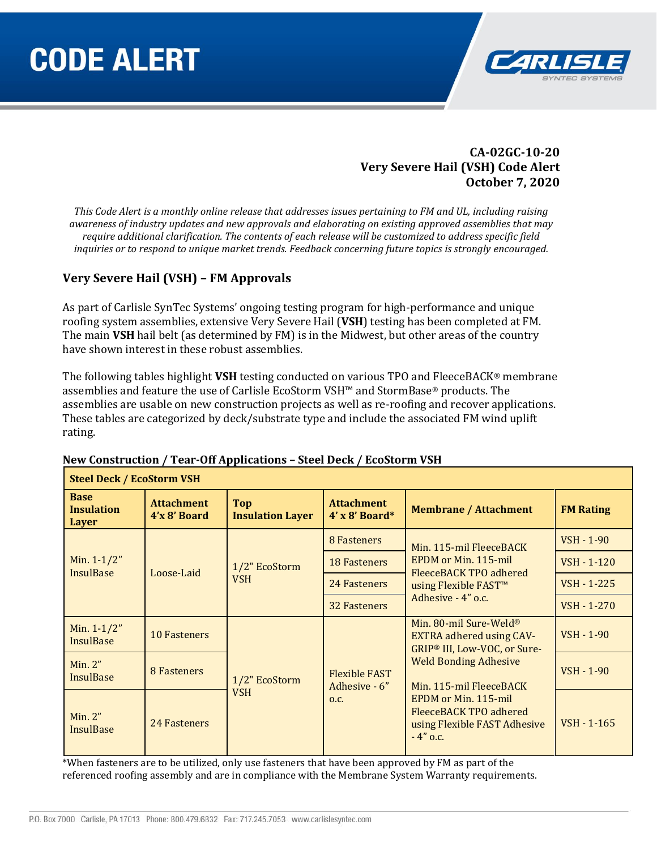

## **CA-02GC-10-20 Very Severe Hail (VSH) Code Alert October 7, 2020**

*This Code Alert is a monthly online release that addresses issues pertaining to FM and UL, including raising awareness of industry updates and new approvals and elaborating on existing approved assemblies that may require additional clarification. The contents of each release will be customized to address specific field inquiries or to respond to unique market trends. Feedback concerning future topics is strongly encouraged.*

## **Very Severe Hail (VSH) – FM Approvals**

As part of Carlisle SynTec Systems' ongoing testing program for high-performance and unique roofing system assemblies, extensive Very Severe Hail (**VSH**) testing has been completed at FM. The main **VSH** hail belt (as determined by FM) is in the Midwest, but other areas of the country have shown interest in these robust assemblies.

The following tables highlight **VSH** testing conducted on various TPO and FleeceBACK® membrane assemblies and feature the use of Carlisle EcoStorm VSH™ and StormBase® products. The assemblies are usable on new construction projects as well as re-roofing and recover applications. These tables are categorized by deck/substrate type and include the associated FM wind uplift rating.

| <b>Steel Deck / EcoStorm VSH</b>          |                                    |                                       |                                                                                                                   |                                                                                                                                                         |                                                                         |
|-------------------------------------------|------------------------------------|---------------------------------------|-------------------------------------------------------------------------------------------------------------------|---------------------------------------------------------------------------------------------------------------------------------------------------------|-------------------------------------------------------------------------|
| <b>Base</b><br><b>Insulation</b><br>Layer | <b>Attachment</b><br>$4'x8'$ Board | <b>Top</b><br><b>Insulation Layer</b> | <b>Attachment</b><br>$4'$ x 8' Board*                                                                             | <b>Membrane / Attachment</b>                                                                                                                            | <b>FM Rating</b>                                                        |
| Min. $1-1/2"$<br><b>InsulBase</b>         |                                    |                                       | 8 Fasteners                                                                                                       | Min. 115-mil FleeceBACK                                                                                                                                 | <b>VSH - 1-90</b>                                                       |
|                                           | Loose-Laid                         | 1/2" EcoStorm                         | <b>18 Fasteners</b>                                                                                               | EPDM or Min. 115-mil<br>FleeceBACK TPO adhered                                                                                                          | <b>VSH - 1-120</b><br><b>VSH - 1-225</b><br>VSH - 1-270<br>$VSH - 1-90$ |
|                                           |                                    | <b>VSH</b>                            | 24 Fasteners                                                                                                      | using Flexible FAST <sup>™</sup><br>Adhesive - 4" o.c.                                                                                                  |                                                                         |
|                                           |                                    |                                       | <b>32 Fasteners</b>                                                                                               |                                                                                                                                                         |                                                                         |
| Min. $1-1/2"$<br><b>InsulBase</b>         | 10 Fasteners                       | 1/2" EcoStorm<br><b>VSH</b>           | Min. 80-mil Sure-Weld <sup>®</sup><br><b>EXTRA adhered using CAV-</b><br>GRIP <sup>®</sup> III, Low-VOC, or Sure- |                                                                                                                                                         |                                                                         |
| Min. 2"<br><b>InsulBase</b>               | 8 Fasteners                        |                                       | <b>Flexible FAST</b><br>Adhesive - 6"                                                                             | <b>Weld Bonding Adhesive</b><br>Min. 115-mil FleeceBACK<br>EPDM or Min. 115-mil<br>FleeceBACK TPO adhered<br>using Flexible FAST Adhesive<br>$-4"$ o.c. | <b>VSH - 1-90</b>                                                       |
| Min. 2"<br><b>InsulBase</b>               | 24 Fasteners                       |                                       | O.C.                                                                                                              |                                                                                                                                                         | $VSH - 1 - 165$                                                         |

#### **New Construction / Tear-Off Applications – Steel Deck / EcoStorm VSH**

\*When fasteners are to be utilized, only use fasteners that have been approved by FM as part of the referenced roofing assembly and are in compliance with the Membrane System Warranty requirements.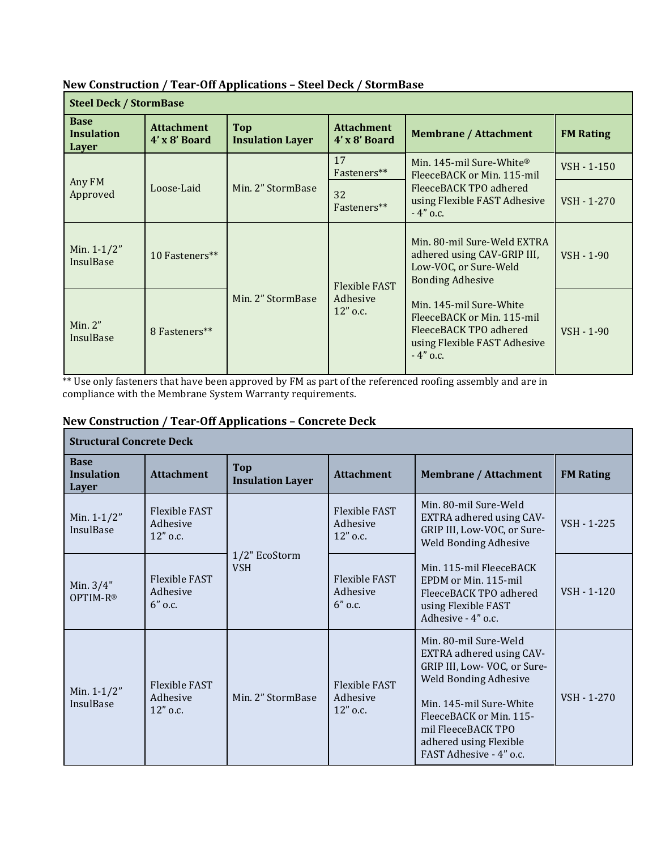| <b>Steel Deck / StormBase</b>             |                                        |                                       |                                                                                                                                        |                                                                                                                                |                  |  |
|-------------------------------------------|----------------------------------------|---------------------------------------|----------------------------------------------------------------------------------------------------------------------------------------|--------------------------------------------------------------------------------------------------------------------------------|------------------|--|
| <b>Base</b><br><b>Insulation</b><br>Layer | <b>Attachment</b><br>$4'$ x $8'$ Board | <b>Top</b><br><b>Insulation Layer</b> | <b>Attachment</b><br>$4' \times 8'$ Board                                                                                              | <b>Membrane / Attachment</b>                                                                                                   | <b>FM Rating</b> |  |
| Any FM<br>Approved                        | Loose-Laid                             | Min. 2" StormBase                     | 17<br>Fasteners**                                                                                                                      | Min. 145-mil Sure-White®<br>FleeceBACK or Min. 115-mil<br>FleeceBACK TPO adhered<br>using Flexible FAST Adhesive<br>$-4"$ o.c. | VSH - 1-150      |  |
|                                           |                                        |                                       | 32<br>Fasteners**                                                                                                                      |                                                                                                                                | VSH - 1-270      |  |
| Min. $1-1/2"$<br><b>InsulBase</b>         | 10 Fasteners**                         | Min. 2" StormBase                     | Min. 80-mil Sure-Weld EXTRA<br>adhered using CAV-GRIP III,<br>Low-VOC, or Sure-Weld<br><b>Bonding Adhesive</b><br><b>Flexible FAST</b> | $VSH - 1-90$                                                                                                                   |                  |  |
| Min. $2"$<br>InsulBase                    | 8 Fasteners**                          |                                       | Adhesive<br>$12"$ o.c.                                                                                                                 | Min. 145-mil Sure-White<br>FleeceBACK or Min. 115-mil<br>FleeceBACK TPO adhered<br>using Flexible FAST Adhesive<br>$-4"$ o.c.  | VSH - 1-90       |  |

## **New Construction / Tear-Off Applications – Steel Deck / StormBase**

\*\* Use only fasteners that have been approved by FM as part of the referenced roofing assembly and are in compliance with the Membrane System Warranty requirements.

# **New Construction / Tear-Off Applications – Concrete Deck**

| <b>Structural Concrete Deck</b>           |                                                |                                       |                                                |                                                                                                                                                                                                                                                   |                  |  |
|-------------------------------------------|------------------------------------------------|---------------------------------------|------------------------------------------------|---------------------------------------------------------------------------------------------------------------------------------------------------------------------------------------------------------------------------------------------------|------------------|--|
| <b>Base</b><br><b>Insulation</b><br>Layer | <b>Attachment</b>                              | <b>Top</b><br><b>Insulation Layer</b> | <b>Attachment</b>                              | <b>Membrane / Attachment</b>                                                                                                                                                                                                                      | <b>FM Rating</b> |  |
| Min. 1-1/2"<br>InsulBase                  | <b>Flexible FAST</b><br>Adhesive<br>12" o.c.   | 1/2" EcoStorm<br><b>VSH</b>           | <b>Flexible FAST</b><br>Adhesive<br>12" o.c.   | Min. 80-mil Sure-Weld<br>EXTRA adhered using CAV-<br>GRIP III, Low-VOC, or Sure-<br><b>Weld Bonding Adhesive</b>                                                                                                                                  | VSH - 1-225      |  |
| Min. $3/4"$<br>OPTIM-R®                   | <b>Flexible FAST</b><br>Adhesive<br>$6"$ o.c.  |                                       | <b>Flexible FAST</b><br>Adhesive<br>$6"$ o.c.  | Min. 115-mil FleeceBACK<br>EPDM or Min. 115-mil<br>FleeceBACK TPO adhered<br>using Flexible FAST<br>Adhesive - 4" o.c.                                                                                                                            | $VSH - 1-120$    |  |
| Min. $1-1/2"$<br><b>InsulBase</b>         | <b>Flexible FAST</b><br>Adhesive<br>$12"$ o.c. | Min. 2" StormBase                     | <b>Flexible FAST</b><br>Adhesive<br>$12"$ o.c. | Min. 80-mil Sure-Weld<br>EXTRA adhered using CAV-<br>GRIP III, Low-VOC, or Sure-<br><b>Weld Bonding Adhesive</b><br>Min. 145-mil Sure-White<br>FleeceBACK or Min. 115-<br>mil FleeceBACK TPO<br>adhered using Flexible<br>FAST Adhesive - 4" o.c. | VSH - 1-270      |  |